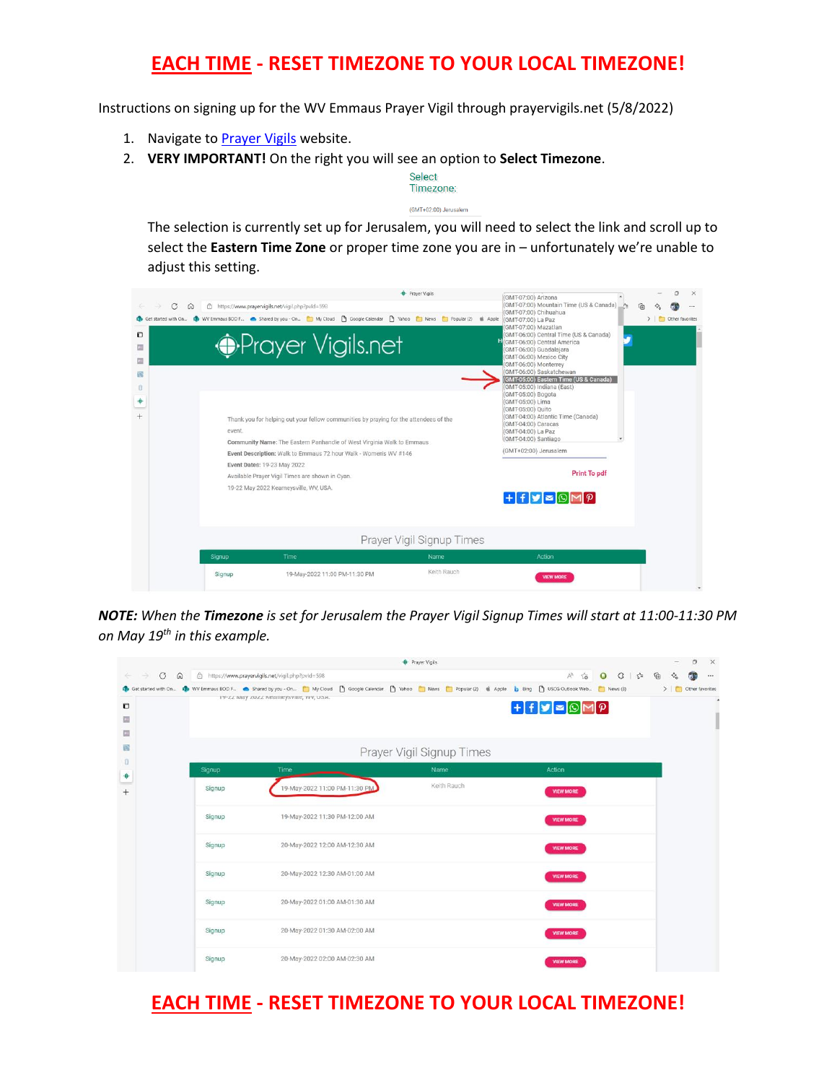## **EACH TIME - RESET TIMEZONE TO YOUR LOCAL TIMEZONE!**

Instructions on signing up for the WV Emmaus Prayer Vigil through prayervigils.net (5/8/2022)

- 1. Navigate to [Prayer Vigils](https://www.prayervigils.net/vigil.php?pvId=598) website.
- 2. **VERY IMPORTANT!** On the right you will see an option to **Select Timezone**.

Select Timezone: (GMT+02:00) Jerusalem

The selection is currently set up for Jerusalem, you will need to select the link and scroll up to select the **Eastern Time Zone** or proper time zone you are in – unfortunately we're unable to adjust this setting.

| C<br>$\Omega$<br>O | event. | Prayer Vigils<br>□ https://www.prayervigils.net/vigil.php?pvld=598<br>Get started with On <b>(B</b> WV Emmaus BOD F Charact by you - On <b>[3]</b> My Cloud [3] Google Calendar [3] Vahoo [3] News [3] Popular (2) (8) Apple<br><b><i>•Prayer Vigils.net</i></b><br>Thank you for helping out your fellow communities by praying for the attendees of the<br>Community Name: The Eastern Panhandle of West Virginia Walk to Emmaus | (GMT-07:00) Arizona<br>(GMT-07:00) Mountain Time (US & Canada)<br>(GMT-07:00) Chihuahua<br>(GMT-07:00) La Paz<br>(GMT-07:00) Mazatlan<br>(GMT-06:00) Central Time (US & Canada)<br>(GMT-06:00) Central America<br>(GMT-06:00) Guadalajara<br>(GMT-06:00) Mexico City<br>(GMT-06:00) Monterrey<br>(GMT-06:00) Saskatchewan<br>(GMT-05:00) Eastern Time (US & Canada)<br>(GMT-05:00) Indiana (East)<br>(GMT-05:00) Bogota<br>(GMT-05:00) Lima<br>(GMT-05:00) Quito<br>(GMT-04:00) Atlantic Time (Canada)<br>(GMT-04:00) Caracas<br>(GMT-04:00) La Paz<br>(GMT-04:00) Santiago<br>۰ | n<br>$\times$<br><br>> Other favorites                                       |  |
|--------------------|--------|------------------------------------------------------------------------------------------------------------------------------------------------------------------------------------------------------------------------------------------------------------------------------------------------------------------------------------------------------------------------------------------------------------------------------------|----------------------------------------------------------------------------------------------------------------------------------------------------------------------------------------------------------------------------------------------------------------------------------------------------------------------------------------------------------------------------------------------------------------------------------------------------------------------------------------------------------------------------------------------------------------------------------|------------------------------------------------------------------------------|--|
|                    |        | Event Description: Walk to Emmaus 72 hour Walk - Women's WV #146<br>Event Dates: 19-23 May 2022<br>Available Prayer Vigil Times are shown in Cyan.<br>19-22 May 2022 Kearneysville, WV, USA.                                                                                                                                                                                                                                       | Prayer Vigil Signup Times                                                                                                                                                                                                                                                                                                                                                                                                                                                                                                                                                        | (GMT+02:00) Jerusalem<br><b>Print To pdf</b><br>$+H$ $=$ $\odot$ $M$ $\odot$ |  |
|                    | Signup | Time                                                                                                                                                                                                                                                                                                                                                                                                                               | Name                                                                                                                                                                                                                                                                                                                                                                                                                                                                                                                                                                             | Action                                                                       |  |
|                    | Signup | 19-May-2022 11:00 PM-11:30 PM                                                                                                                                                                                                                                                                                                                                                                                                      | Keith Rauch                                                                                                                                                                                                                                                                                                                                                                                                                                                                                                                                                                      | <b>VIEW MORE</b>                                                             |  |

*NOTE: When the Timezone is set for Jerusalem the Prayer Vigil Signup Times will start at 11:00-11:30 PM on May 19th in this example.*

|                                                |        |                                                                                                                                                                                   | <b>C</b> Prayer Vigils    |                              | $\times$<br>$\circ$               |
|------------------------------------------------|--------|-----------------------------------------------------------------------------------------------------------------------------------------------------------------------------------|---------------------------|------------------------------|-----------------------------------|
| $\mathcal{C}$<br>$\leftarrow$<br>$\rightarrow$ |        | 命 合 https://www.prayervigils.net/vigil.php?pvld=598                                                                                                                               |                           | A 18 0 3 1 1 1 1 1           | $\diamondsuit_\alpha$<br>$\cdots$ |
|                                                |        | Get started with On ( WV Emmaus BOD F 6 Shared by you - On [ My Cloud [ ] Google Calendar [ ] Yahoo [ ] News [ ] Popular (2) ( 4 Apple   b Bing [ ] USCG Outlook Web [ ] News (3) |                           |                              | > Other favorites                 |
| O                                              |        | 19-22 May 2022 Nearneysville, WV, USA.                                                                                                                                            |                           | $+H$ $=$ $\odot$ $M$ $\odot$ |                                   |
| <b>Dill</b><br>圆                               |        |                                                                                                                                                                                   |                           |                              |                                   |
| 阅                                              |        |                                                                                                                                                                                   | Prayer Vigil Signup Times |                              |                                   |
| Ü                                              |        |                                                                                                                                                                                   |                           |                              |                                   |
| ۰                                              | Signup | Time                                                                                                                                                                              | Name                      | Action                       |                                   |
|                                                | Signup | 19-May-2022 11:00 PM-11:30 PM                                                                                                                                                     | Keith Rauch               | <b>VIEW MORE</b>             |                                   |
|                                                | Signup | 19-May-2022 11:30 PM-12:00 AM                                                                                                                                                     |                           | <b>VIEW MORE</b>             |                                   |
|                                                | Signup | 20-May-2022 12:00 AM-12:30 AM                                                                                                                                                     |                           | <b>VIEW MORE</b>             |                                   |
|                                                | Signup | 20-May-2022 12:30 AM-01:00 AM                                                                                                                                                     |                           | <b>VIEW MORE</b>             |                                   |
|                                                | Signup | 20-May-2022 01:00 AM-01:30 AM                                                                                                                                                     |                           | <b>VIEW MORE</b>             |                                   |
|                                                | Signup | 20-May-2022 01:30 AM-02:00 AM                                                                                                                                                     |                           | <b>VIEW MORE</b>             |                                   |
|                                                | Signup | 20-May-2022 02:00 AM-02:30 AM                                                                                                                                                     |                           | <b>VIEW MORE</b>             |                                   |

## **EACH TIME - RESET TIMEZONE TO YOUR LOCAL TIMEZONE!**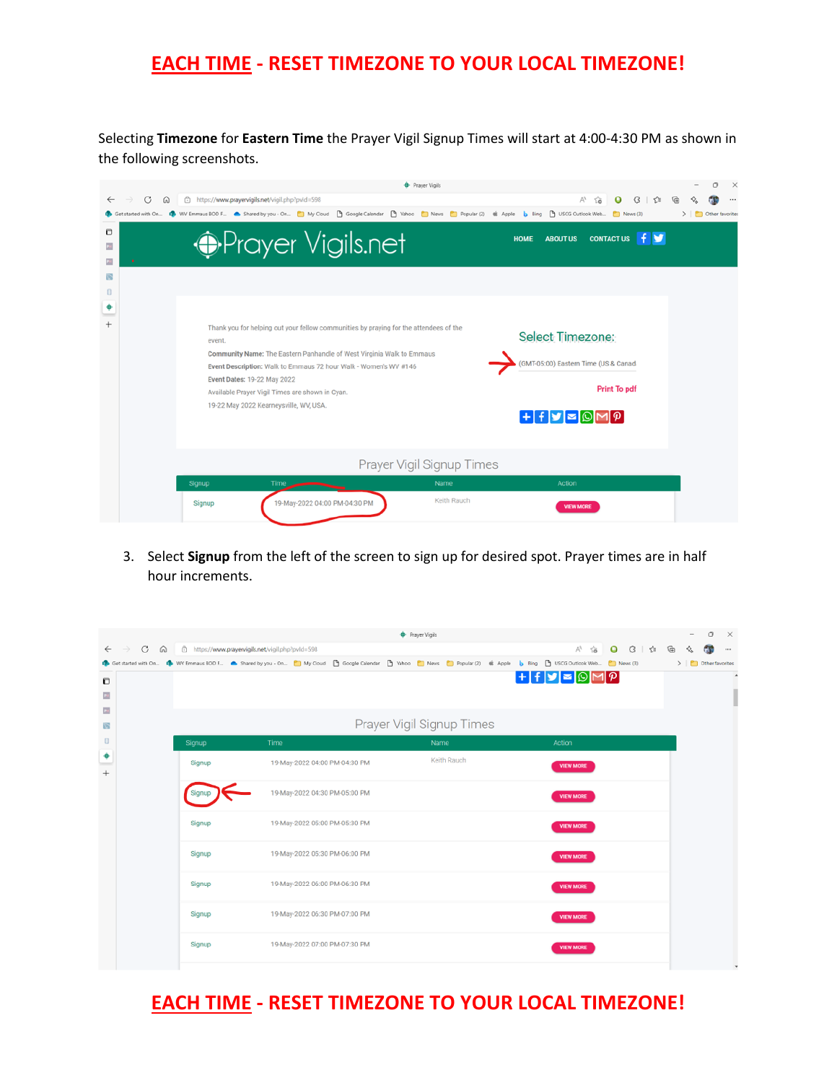## **EACH TIME - RESET TIMEZONE TO YOUR LOCAL TIMEZONE!**

Selecting **Timezone** for **Eastern Time** the Prayer Vigil Signup Times will start at 4:00-4:30 PM as shown in the following screenshots.

|                 | <b>+</b> Prayer Vigils                                                                                                                                                                                                                                                           |                                                                                                                                | ο                 |
|-----------------|----------------------------------------------------------------------------------------------------------------------------------------------------------------------------------------------------------------------------------------------------------------------------------|--------------------------------------------------------------------------------------------------------------------------------|-------------------|
| G<br>⋒          | https://www.prayervigils.net/vigil.php?pvId=598                                                                                                                                                                                                                                  | $\forall_{\theta}$<br>۲ò                                                                                                       |                   |
| started with On | WV Emmaus BOD F Shared by you - On [ ]My Cloud [ ]Google Calendar [ ]Yahoo [ ]News [ ]Popular (2) ( ( Apple   b Bing [ ]YSCG Outlook Web                                                                                                                                         | News (3)                                                                                                                       | > Other favorites |
| o<br>f)         | <b><i>•Prayer Vigils.net</i></b><br>Thank you for helping out your fellow communities by praying for the attendees of the<br>event.<br>Community Name: The Eastern Panhandle of West Virginia Walk to Emmaus<br>Event Description: Walk to Emmaus 72 hour Walk - Women's WV #146 | <b>f</b> y<br><b>CONTACT US</b><br><b>HOME</b><br><b>ABOUT US</b><br>Select Timezone:<br>(GMT-05:00) Eastern Time (US & Canad- |                   |
|                 | Event Dates: 19-22 May 2022<br>Available Prayer Vigil Times are shown in Cyan.<br>19-22 May 2022 Kearneysville, WV, USA.                                                                                                                                                         | <b>Print To pdf</b>                                                                                                            |                   |
|                 | Prayer Vigil Signup Times                                                                                                                                                                                                                                                        |                                                                                                                                |                   |
|                 | Name<br>Signup<br>Time                                                                                                                                                                                                                                                           | Action                                                                                                                         |                   |
|                 | Keith Rauch<br>19-May-2022 04:00 PM-04:30 PM<br>Signup                                                                                                                                                                                                                           | <b>VIEW MORE</b>                                                                                                               |                   |

3. Select **Signup** from the left of the screen to sign up for desired spot. Prayer times are in half hour increments.

|                                                                                                                                                                               |                                                   |                               |  | <b>+</b> Prayer Vigils    |  |                                                          |                  |           |                                                         | $\qquad \qquad$         | 0 | $\times$    |
|-------------------------------------------------------------------------------------------------------------------------------------------------------------------------------|---------------------------------------------------|-------------------------------|--|---------------------------|--|----------------------------------------------------------|------------------|-----------|---------------------------------------------------------|-------------------------|---|-------------|
| G<br>$\rightarrow$<br>$\leftarrow$                                                                                                                                            | 6 https://www.prayervigils.net/vigil.php?pvld=598 |                               |  |                           |  |                                                          | Ah.<br>సం        | $\bullet$ | $G \upharpoonright \mathcal{L}^* \quad \textcircled{G}$ | $\diamondsuit_{\alpha}$ |   | $\cdots$    |
| 6 Get started with On @ WV Emmaus BOD F . Shared by you - On [ My Cloud [ B Google Calendar [ B Vahoo   Mews   Popular (2)   & Apple   b Bing [ B USCG Outlook Web [ News (3) |                                                   |                               |  |                           |  |                                                          |                  |           |                                                         | > Other favorites       |   |             |
| Ð                                                                                                                                                                             |                                                   |                               |  |                           |  | $ + f $ y $ \approx$ $\text{\o}$ $\text{\o}$ $\text{\o}$ |                  |           |                                                         |                         |   | $\Delta$    |
| <b>Dill</b>                                                                                                                                                                   |                                                   |                               |  |                           |  |                                                          |                  |           |                                                         |                         |   |             |
| $\overline{28}$                                                                                                                                                               |                                                   |                               |  |                           |  |                                                          |                  |           |                                                         |                         |   |             |
| 露                                                                                                                                                                             |                                                   |                               |  | Prayer Vigil Signup Times |  |                                                          |                  |           |                                                         |                         |   |             |
| $\begin{array}{c} \square \end{array}$                                                                                                                                        | Signup                                            | Time                          |  | Name                      |  | Action                                                   |                  |           |                                                         |                         |   |             |
| ٠                                                                                                                                                                             | Signup                                            | 19-May-2022 04:00 PM-04:30 PM |  | Keith Rauch               |  |                                                          | <b>VIEW MORE</b> |           |                                                         |                         |   |             |
| $^{+}$                                                                                                                                                                        |                                                   |                               |  |                           |  |                                                          |                  |           |                                                         |                         |   |             |
|                                                                                                                                                                               |                                                   | 19-May-2022 04:30 PM-05:00 PM |  |                           |  |                                                          | <b>VIEW MORE</b> |           |                                                         |                         |   |             |
|                                                                                                                                                                               | Signup                                            | 19-May-2022 05:00 PM-05:30 PM |  |                           |  |                                                          | <b>VIEW MORE</b> |           |                                                         |                         |   |             |
|                                                                                                                                                                               | Signup                                            | 19-May-2022 05:30 PM-06:00 PM |  |                           |  |                                                          | <b>VIEW MORE</b> |           |                                                         |                         |   |             |
|                                                                                                                                                                               | Signup                                            | 19-May-2022 06:00 PM-06:30 PM |  |                           |  |                                                          | <b>VIEW MORE</b> |           |                                                         |                         |   |             |
|                                                                                                                                                                               | Signup                                            | 19-May-2022 06:30 PM-07:00 PM |  |                           |  |                                                          | <b>VIEW MORE</b> |           |                                                         |                         |   |             |
|                                                                                                                                                                               | Signup                                            | 19-May-2022 07:00 PM-07:30 PM |  |                           |  |                                                          | <b>VIEW MORE</b> |           |                                                         |                         |   |             |
|                                                                                                                                                                               |                                                   |                               |  |                           |  |                                                          |                  |           |                                                         |                         |   | $\mathbf w$ |

## **EACH TIME - RESET TIMEZONE TO YOUR LOCAL TIMEZONE!**